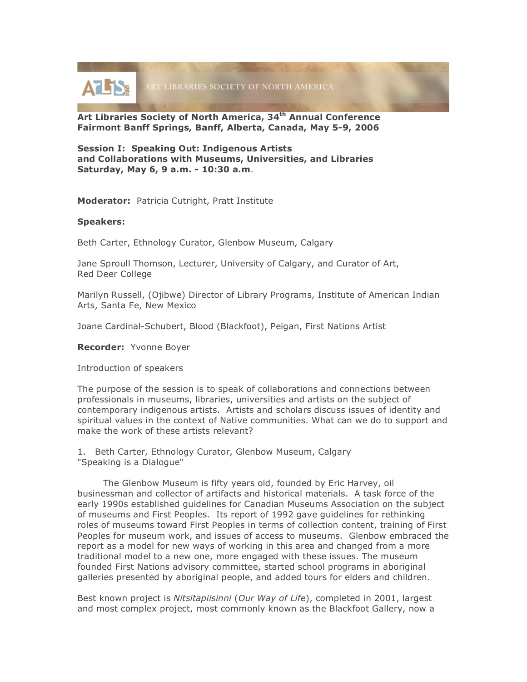**ATLISE** ART LIBRARIES SOCIETY OF NORTH AMERICA

**Art Libraries Society of North America, 34th Annual Conference Fairmont Banff Springs, Banff, Alberta, Canada, May 5-9, 2006**

**Session I: Speaking Out: Indigenous Artists and Collaborations with Museums, Universities, and Libraries Saturday, May 6, 9 a.m. - 10:30 a.m**.

**Moderator:** Patricia Cutright, Pratt Institute

## **Speakers:**

Beth Carter, Ethnology Curator, Glenbow Museum, Calgary

Jane Sproull Thomson, Lecturer, University of Calgary, and Curator of Art, Red Deer College

Marilyn Russell, (Ojibwe) Director of Library Programs, Institute of American Indian Arts, Santa Fe, New Mexico

Joane Cardinal-Schubert, Blood (Blackfoot), Peigan, First Nations Artist

**Recorder:** Yvonne Boyer

Introduction of speakers

The purpose of the session is to speak of collaborations and connections between professionals in museums, libraries, universities and artists on the subject of contemporary indigenous artists. Artists and scholars discuss issues of identity and spiritual values in the context of Native communities. What can we do to support and make the work of these artists relevant?

1. Beth Carter, Ethnology Curator, Glenbow Museum, Calgary "Speaking is a Dialogue"

The Glenbow Museum is fifty years old, founded by Eric Harvey, oil businessman and collector of artifacts and historical materials. A task force of the early 1990s established guidelines for Canadian Museums Association on the subject of museums and First Peoples. Its report of 1992 gave guidelines for rethinking roles of museums toward First Peoples in terms of collection content, training of First Peoples for museum work, and issues of access to museums. Glenbow embraced the report as a model for new ways of working in this area and changed from a more traditional model to a new one, more engaged with these issues. The museum founded First Nations advisory committee, started school programs in aboriginal galleries presented by aboriginal people, and added tours for elders and children.

Best known project is *Nitsitapiisinni* (*Our Way of Life*), completed in 2001, largest and most complex project, most commonly known as the Blackfoot Gallery, now a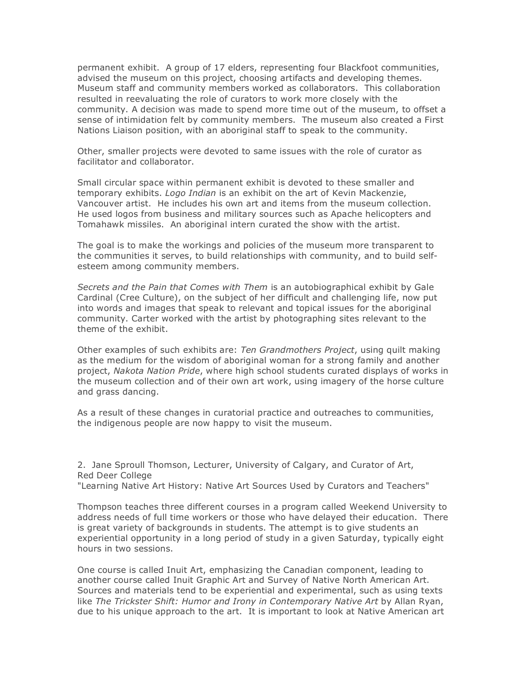permanent exhibit. A group of 17 elders, representing four Blackfoot communities, advised the museum on this project, choosing artifacts and developing themes. Museum staff and community members worked as collaborators. This collaboration resulted in reevaluating the role of curators to work more closely with the community. A decision was made to spend more time out of the museum, to offset a sense of intimidation felt by community members. The museum also created a First Nations Liaison position, with an aboriginal staff to speak to the community.

Other, smaller projects were devoted to same issues with the role of curator as facilitator and collaborator.

Small circular space within permanent exhibit is devoted to these smaller and temporary exhibits. *Logo Indian* is an exhibit on the art of Kevin Mackenzie, Vancouver artist. He includes his own art and items from the museum collection. He used logos from business and military sources such as Apache helicopters and Tomahawk missiles. An aboriginal intern curated the show with the artist.

The goal is to make the workings and policies of the museum more transparent to the communities it serves, to build relationships with community, and to build selfesteem among community members.

*Secrets and the Pain that Comes with Them* is an autobiographical exhibit by Gale Cardinal (Cree Culture), on the subject of her difficult and challenging life, now put into words and images that speak to relevant and topical issues for the aboriginal community. Carter worked with the artist by photographing sites relevant to the theme of the exhibit.

Other examples of such exhibits are: *Ten Grandmothers Project*, using quilt making as the medium for the wisdom of aboriginal woman for a strong family and another project, *Nakota Nation Pride*, where high school students curated displays of works in the museum collection and of their own art work, using imagery of the horse culture and grass dancing.

As a result of these changes in curatorial practice and outreaches to communities, the indigenous people are now happy to visit the museum.

2. Jane Sproull Thomson, Lecturer, University of Calgary, and Curator of Art, Red Deer College "Learning Native Art History: Native Art Sources Used by Curators and Teachers"

Thompson teaches three different courses in a program called Weekend University to address needs of full time workers or those who have delayed their education. There is great variety of backgrounds in students. The attempt is to give students an experiential opportunity in a long period of study in a given Saturday, typically eight hours in two sessions.

One course is called Inuit Art, emphasizing the Canadian component, leading to another course called Inuit Graphic Art and Survey of Native North American Art. Sources and materials tend to be experiential and experimental, such as using texts like *The Trickster Shift: Humor and Irony in Contemporary Native Art* by Allan Ryan, due to his unique approach to the art. It is important to look at Native American art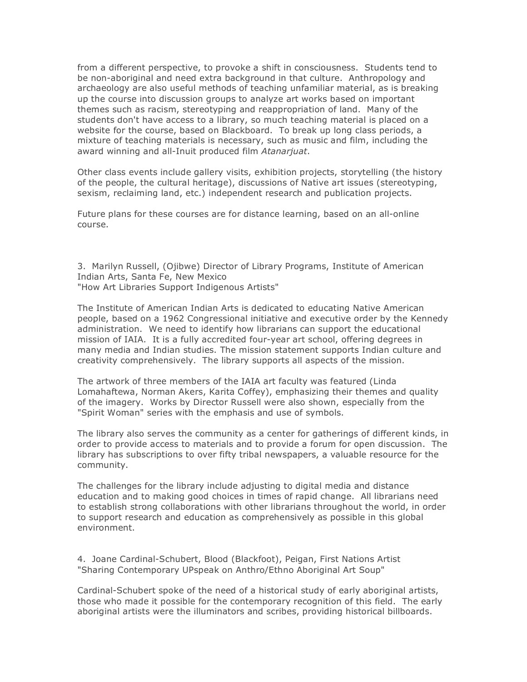from a different perspective, to provoke a shift in consciousness. Students tend to be non-aboriginal and need extra background in that culture. Anthropology and archaeology are also useful methods of teaching unfamiliar material, as is breaking up the course into discussion groups to analyze art works based on important themes such as racism, stereotyping and reappropriation of land. Many of the students don't have access to a library, so much teaching material is placed on a website for the course, based on Blackboard. To break up long class periods, a mixture of teaching materials is necessary, such as music and film, including the award winning and all-Inuit produced film *Atanarjuat*.

Other class events include gallery visits, exhibition projects, storytelling (the history of the people, the cultural heritage), discussions of Native art issues (stereotyping, sexism, reclaiming land, etc.) independent research and publication projects.

Future plans for these courses are for distance learning, based on an all-online course.

3. Marilyn Russell, (Ojibwe) Director of Library Programs, Institute of American Indian Arts, Santa Fe, New Mexico "How Art Libraries Support Indigenous Artists"

The Institute of American Indian Arts is dedicated to educating Native American people, based on a 1962 Congressional initiative and executive order by the Kennedy administration. We need to identify how librarians can support the educational mission of IAIA. It is a fully accredited four-year art school, offering degrees in many media and Indian studies. The mission statement supports Indian culture and creativity comprehensively. The library supports all aspects of the mission.

The artwork of three members of the IAIA art faculty was featured (Linda Lomahaftewa, Norman Akers, Karita Coffey), emphasizing their themes and quality of the imagery. Works by Director Russell were also shown, especially from the "Spirit Woman" series with the emphasis and use of symbols.

The library also serves the community as a center for gatherings of different kinds, in order to provide access to materials and to provide a forum for open discussion. The library has subscriptions to over fifty tribal newspapers, a valuable resource for the community.

The challenges for the library include adjusting to digital media and distance education and to making good choices in times of rapid change. All librarians need to establish strong collaborations with other librarians throughout the world, in order to support research and education as comprehensively as possible in this global environment.

4. Joane Cardinal-Schubert, Blood (Blackfoot), Peigan, First Nations Artist "Sharing Contemporary UPspeak on Anthro/Ethno Aboriginal Art Soup"

Cardinal-Schubert spoke of the need of a historical study of early aboriginal artists, those who made it possible for the contemporary recognition of this field. The early aboriginal artists were the illuminators and scribes, providing historical billboards.